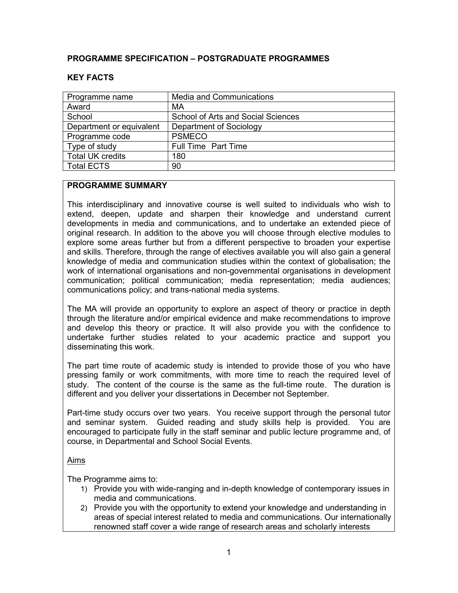## **PROGRAMME SPECIFICATION – POSTGRADUATE PROGRAMMES**

#### Programme name **Nedia and Communications** Award MA School School of Arts and Social Sciences Department or equivalent | Department of Sociology Programme code | PSMECO Type of study **Full Time Part Time** Total UK credits 180 Total ECTS 90

#### **KEY FACTS**

## **PROGRAMME SUMMARY**

This interdisciplinary and innovative course is well suited to individuals who wish to extend, deepen, update and sharpen their knowledge and understand current developments in media and communications, and to undertake an extended piece of original research. In addition to the above you will choose through elective modules to explore some areas further but from a different perspective to broaden your expertise and skills. Therefore, through the range of electives available you will also gain a general knowledge of media and communication studies within the context of globalisation; the work of international organisations and non-governmental organisations in development communication; political communication; media representation; media audiences; communications policy; and trans-national media systems.

The MA will provide an opportunity to explore an aspect of theory or practice in depth through the literature and/or empirical evidence and make recommendations to improve and develop this theory or practice. It will also provide you with the confidence to undertake further studies related to your academic practice and support you disseminating this work.

The part time route of academic study is intended to provide those of you who have pressing family or work commitments, with more time to reach the required level of study. The content of the course is the same as the full-time route. The duration is different and you deliver your dissertations in December not September.

Part-time study occurs over two years. You receive support through the personal tutor and seminar system. Guided reading and study skills help is provided. You are encouraged to participate fully in the staff seminar and public lecture programme and, of course, in Departmental and School Social Events.

#### Aims

The Programme aims to:

- 1) Provide you with wide-ranging and in-depth knowledge of contemporary issues in media and communications.
- 2) Provide you with the opportunity to extend your knowledge and understanding in areas of special interest related to media and communications. Our internationally renowned staff cover a wide range of research areas and scholarly interests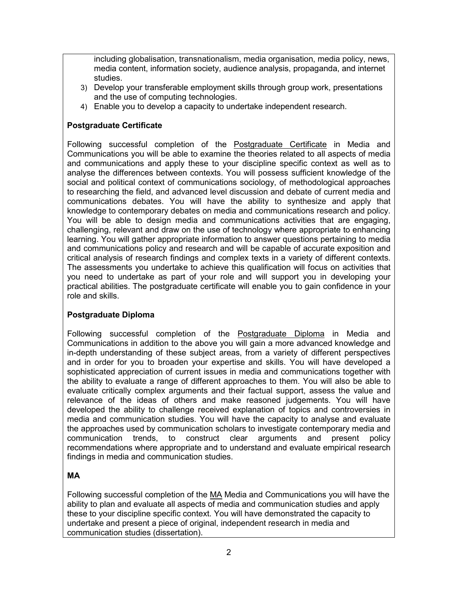including globalisation, transnationalism, media organisation, media policy, news, media content, information society, audience analysis, propaganda, and internet studies.

- 3) Develop your transferable employment skills through group work, presentations and the use of computing technologies.
- 4) Enable you to develop a capacity to undertake independent research.

## **Postgraduate Certificate**

Following successful completion of the Postgraduate Certificate in Media and Communications you will be able to examine the theories related to all aspects of media and communications and apply these to your discipline specific context as well as to analyse the differences between contexts. You will possess sufficient knowledge of the social and political context of communications sociology, of methodological approaches to researching the field, and advanced level discussion and debate of current media and communications debates. You will have the ability to synthesize and apply that knowledge to contemporary debates on media and communications research and policy. You will be able to design media and communications activities that are engaging, challenging, relevant and draw on the use of technology where appropriate to enhancing learning. You will gather appropriate information to answer questions pertaining to media and communications policy and research and will be capable of accurate exposition and critical analysis of research findings and complex texts in a variety of different contexts. The assessments you undertake to achieve this qualification will focus on activities that you need to undertake as part of your role and will support you in developing your practical abilities. The postgraduate certificate will enable you to gain confidence in your role and skills.

# **Postgraduate Diploma**

Following successful completion of the Postgraduate Diploma in Media and Communications in addition to the above you will gain a more advanced knowledge and in-depth understanding of these subject areas, from a variety of different perspectives and in order for you to broaden your expertise and skills. You will have developed a sophisticated appreciation of current issues in media and communications together with the ability to evaluate a range of different approaches to them. You will also be able to evaluate critically complex arguments and their factual support, assess the value and relevance of the ideas of others and make reasoned judgements. You will have developed the ability to challenge received explanation of topics and controversies in media and communication studies. You will have the capacity to analyse and evaluate the approaches used by communication scholars to investigate contemporary media and communication trends, to construct clear arguments and present policy recommendations where appropriate and to understand and evaluate empirical research findings in media and communication studies.

# **MA**

Following successful completion of the MA Media and Communications you will have the ability to plan and evaluate all aspects of media and communication studies and apply these to your discipline specific context. You will have demonstrated the capacity to undertake and present a piece of original, independent research in media and communication studies (dissertation).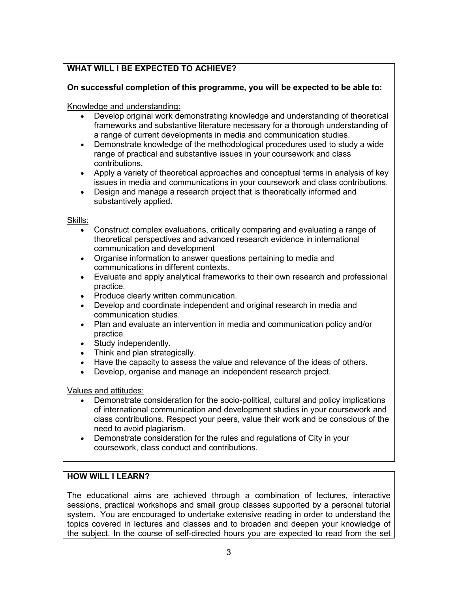# **WHAT WILL I BE EXPECTED TO ACHIEVE?**

#### **On successful completion of this programme, you will be expected to be able to:**

#### Knowledge and understanding:

- Develop original work demonstrating knowledge and understanding of theoretical frameworks and substantive literature necessary for a thorough understanding of a range of current developments in media and communication studies.
- Demonstrate knowledge of the methodological procedures used to study a wide range of practical and substantive issues in your coursework and class contributions.
- Apply a variety of theoretical approaches and conceptual terms in analysis of key issues in media and communications in your coursework and class contributions.
- Design and manage a research project that is theoretically informed and substantively applied.

#### Skills:

- Construct complex evaluations, critically comparing and evaluating a range of theoretical perspectives and advanced research evidence in international communication and development
- Organise information to answer questions pertaining to media and communications in different contexts.
- Evaluate and apply analytical frameworks to their own research and professional practice.
- Produce clearly written communication.
- Develop and coordinate independent and original research in media and communication studies.
- Plan and evaluate an intervention in media and communication policy and/or practice.
- Study independently.
- Think and plan strategically.
- Have the capacity to assess the value and relevance of the ideas of others.
- Develop, organise and manage an independent research project.

#### Values and attitudes:

- Demonstrate consideration for the socio-political, cultural and policy implications of international communication and development studies in your coursework and class contributions. Respect your peers, value their work and be conscious of the need to avoid plagiarism.
- Demonstrate consideration for the rules and regulations of City in your coursework, class conduct and contributions.

## **HOW WILL I LEARN?**

The educational aims are achieved through a combination of lectures, interactive sessions, practical workshops and small group classes supported by a personal tutorial system. You are encouraged to undertake extensive reading in order to understand the topics covered in lectures and classes and to broaden and deepen your knowledge of the subject. In the course of self-directed hours you are expected to read from the set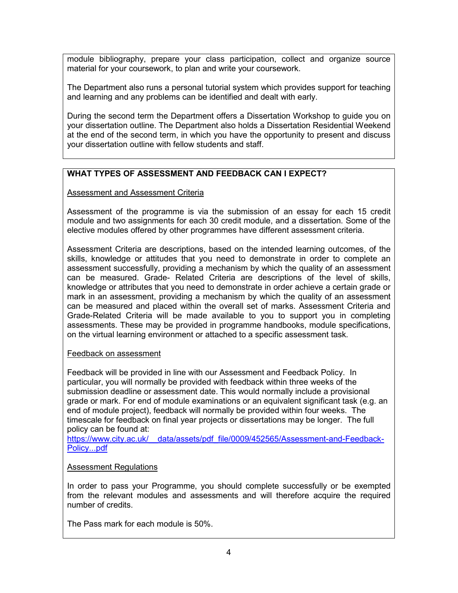module bibliography, prepare your class participation, collect and organize source material for your coursework, to plan and write your coursework.

The Department also runs a personal tutorial system which provides support for teaching and learning and any problems can be identified and dealt with early.

During the second term the Department offers a Dissertation Workshop to guide you on your dissertation outline. The Department also holds a Dissertation Residential Weekend at the end of the second term, in which you have the opportunity to present and discuss your dissertation outline with fellow students and staff.

## **WHAT TYPES OF ASSESSMENT AND FEEDBACK CAN I EXPECT?**

#### Assessment and Assessment Criteria

Assessment of the programme is via the submission of an essay for each 15 credit module and two assignments for each 30 credit module, and a dissertation. Some of the elective modules offered by other programmes have different assessment criteria.

Assessment Criteria are descriptions, based on the intended learning outcomes, of the skills, knowledge or attitudes that you need to demonstrate in order to complete an assessment successfully, providing a mechanism by which the quality of an assessment can be measured. Grade- Related Criteria are descriptions of the level of skills, knowledge or attributes that you need to demonstrate in order achieve a certain grade or mark in an assessment, providing a mechanism by which the quality of an assessment can be measured and placed within the overall set of marks. Assessment Criteria and Grade-Related Criteria will be made available to you to support you in completing assessments. These may be provided in programme handbooks, module specifications, on the virtual learning environment or attached to a specific assessment task*.*

#### Feedback on assessment

Feedback will be provided in line with our Assessment and Feedback Policy. In particular, you will normally be provided with feedback within three weeks of the submission deadline or assessment date. This would normally include a provisional grade or mark. For end of module examinations or an equivalent significant task (e.g. an end of module project), feedback will normally be provided within four weeks. The timescale for feedback on final year projects or dissertations may be longer. The full policy can be found at:

https://www.city.ac.uk/ data/assets/pdf file/0009/452565/Assessment-and-Feedback-[Policy...pdf](https://www.city.ac.uk/__data/assets/pdf_file/0009/452565/Assessment-and-Feedback-Policy...pdf)

## Assessment Regulations

In order to pass your Programme, you should complete successfully or be exempted from the relevant modules and assessments and will therefore acquire the required number of credits.

The Pass mark for each module is 50%.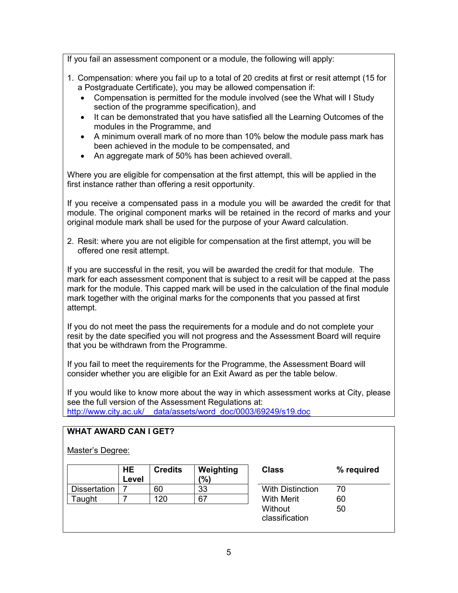If you fail an assessment component or a module, the following will apply:

- 1. Compensation: where you fail up to a total of 20 credits at first or resit attempt (15 for a Postgraduate Certificate), you may be allowed compensation if:
	- Compensation is permitted for the module involved (see the What will I Study section of the programme specification), and
	- It can be demonstrated that you have satisfied all the Learning Outcomes of the modules in the Programme, and
	- A minimum overall mark of no more than 10% below the module pass mark has been achieved in the module to be compensated, and
	- An aggregate mark of 50% has been achieved overall.

Where you are eligible for compensation at the first attempt, this will be applied in the first instance rather than offering a resit opportunity.

If you receive a compensated pass in a module you will be awarded the credit for that module. The original component marks will be retained in the record of marks and your original module mark shall be used for the purpose of your Award calculation.

2. Resit: where you are not eligible for compensation at the first attempt, you will be offered one resit attempt.

If you are successful in the resit, you will be awarded the credit for that module. The mark for each assessment component that is subject to a resit will be capped at the pass mark for the module. This capped mark will be used in the calculation of the final module mark together with the original marks for the components that you passed at first attempt.

If you do not meet the pass the requirements for a module and do not complete your resit by the date specified you will not progress and the Assessment Board will require that you be withdrawn from the Programme.

If you fail to meet the requirements for the Programme, the Assessment Board will consider whether you are eligible for an Exit Award as per the table below.

If you would like to know more about the way in which assessment works at City, please see the full version of the Assessment Regulations at: [http://www.city.ac.uk/\\_\\_data/assets/word\\_doc/0003/69249/s19.doc](http://www.city.ac.uk/__data/assets/word_doc/0003/69249/s19.doc)

## **WHAT AWARD CAN I GET?**

#### Master's Degree:

|                     | <b>HE</b><br>Level | <b>Credits</b> | Weighting<br>'%) | <b>Class</b>              | %  |
|---------------------|--------------------|----------------|------------------|---------------------------|----|
| <b>Dissertation</b> |                    | 60             | 33               | <b>With Distinction</b>   | 70 |
| ⊺aught              |                    | 120            | 67               | <b>With Merit</b>         | 60 |
|                     |                    |                |                  | Without<br>classification | 50 |

| Class                     | % required |  |  |
|---------------------------|------------|--|--|
| With Distinction          | 70         |  |  |
| With Merit                | 60         |  |  |
| Without<br>classification | 50         |  |  |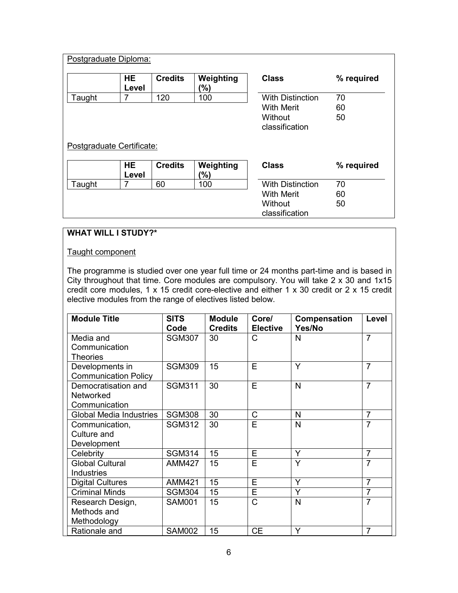|                           | Postgraduate Diploma: |                |                   |                           |            |  |  |
|---------------------------|-----------------------|----------------|-------------------|---------------------------|------------|--|--|
|                           | <b>HE</b><br>Level    | <b>Credits</b> | Weighting<br>(%)  | <b>Class</b>              | % required |  |  |
| Taught                    | 7                     | 120            | 100               | <b>With Distinction</b>   | 70         |  |  |
|                           |                       |                | <b>With Merit</b> | 60                        |            |  |  |
|                           |                       |                |                   | Without<br>classification | 50         |  |  |
| Postgraduate Certificate: |                       |                |                   |                           |            |  |  |
|                           |                       |                |                   |                           |            |  |  |
|                           | HE.                   | <b>Credits</b> | Weighting         | <b>Class</b>              | % required |  |  |
|                           | Level                 |                | (%)               |                           |            |  |  |
| Taught                    | 7                     | 60             | 100               | <b>With Distinction</b>   | 70         |  |  |
|                           |                       |                |                   | <b>With Merit</b>         | 60         |  |  |
|                           |                       |                |                   | Without                   | 50         |  |  |

# **WHAT WILL I STUDY?\***

#### Taught component

The programme is studied over one year full time or 24 months part-time and is based in City throughout that time. Core modules are compulsory. You will take 2 x 30 and 1x15 credit core modules, 1 x 15 credit core-elective and either 1 x 30 credit or 2 x 15 credit elective modules from the range of electives listed below.

| <b>Module Title</b>            | <b>SITS</b><br>Code | <b>Module</b><br><b>Credits</b> | Core/<br><b>Elective</b> | Compensation<br>Yes/No | Level          |
|--------------------------------|---------------------|---------------------------------|--------------------------|------------------------|----------------|
| Media and                      | <b>SGM307</b>       | 30                              | С                        | N                      | $\overline{7}$ |
| Communication                  |                     |                                 |                          |                        |                |
| Theories                       |                     |                                 |                          |                        |                |
| Developments in                | <b>SGM309</b>       | 15                              | E                        | Y                      | $\overline{7}$ |
| <b>Communication Policy</b>    |                     |                                 |                          |                        |                |
| Democratisation and            | <b>SGM311</b>       | 30                              | E                        | N                      | $\overline{7}$ |
| <b>Networked</b>               |                     |                                 |                          |                        |                |
| Communication                  |                     |                                 |                          |                        |                |
| <b>Global Media Industries</b> | <b>SGM308</b>       | 30                              | $\mathsf C$              | N                      | $\overline{7}$ |
| Communication,                 | <b>SGM312</b>       | 30                              | Е                        | $\mathsf{N}$           | $\overline{7}$ |
| Culture and                    |                     |                                 |                          |                        |                |
| Development                    |                     |                                 |                          |                        |                |
| Celebrity                      | <b>SGM314</b>       | 15                              | E                        | Y                      | $\overline{7}$ |
| <b>Global Cultural</b>         | <b>AMM427</b>       | 15                              | E                        | Y                      | $\overline{7}$ |
| <b>Industries</b>              |                     |                                 |                          |                        |                |
|                                |                     |                                 | E                        | Y                      | $\overline{7}$ |
| <b>Digital Cultures</b>        | <b>AMM421</b>       | 15                              |                          |                        |                |
| <b>Criminal Minds</b>          | <b>SGM304</b>       | 15                              | E                        | Y                      | $\overline{7}$ |
| Research Design,               | <b>SAM001</b>       | 15                              | C                        | $\mathsf{N}$           | $\overline{7}$ |
| Methods and                    |                     |                                 |                          |                        |                |
| Methodology                    |                     |                                 |                          |                        |                |
| Rationale and                  | <b>SAM002</b>       | 15                              | <b>CE</b>                | Υ                      | 7              |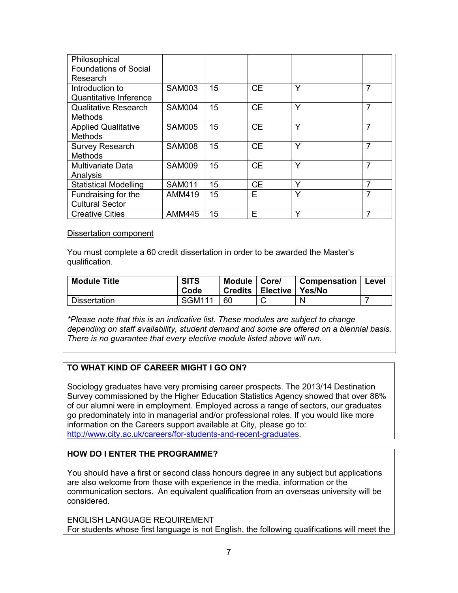| Philosophical<br><b>Foundations of Social</b><br>Research |               |    |           |   |                |
|-----------------------------------------------------------|---------------|----|-----------|---|----------------|
| Introduction to<br><b>Quantitative Inference</b>          | <b>SAM003</b> | 15 | <b>CE</b> | Υ | $\overline{7}$ |
| <b>Qualitative Research</b><br><b>Methods</b>             | <b>SAM004</b> | 15 | <b>CE</b> | Υ | $\overline{7}$ |
| <b>Applied Qualitative</b><br><b>Methods</b>              | <b>SAM005</b> | 15 | <b>CE</b> | Y | 7              |
| <b>Survey Research</b><br><b>Methods</b>                  | <b>SAM008</b> | 15 | <b>CE</b> | Υ | $\overline{7}$ |
| <b>Multivariate Data</b><br>Analysis                      | <b>SAM009</b> | 15 | <b>CE</b> | Υ | $\overline{7}$ |
| <b>Statistical Modelling</b>                              | <b>SAM011</b> | 15 | <b>CE</b> | Y | 7              |
| Fundraising for the<br><b>Cultural Sector</b>             | <b>AMM419</b> | 15 | Е         | Υ | 7              |
| <b>Creative Cities</b>                                    | <b>AMM445</b> | 15 | Е         | Υ | 7              |

#### Dissertation component

You must complete a 60 credit dissertation in order to be awarded the Master's qualification.

| <b>Module Title</b> | <b>SITS</b><br>Code | Module   Core/ | Credits   Elective   Yes/No | <b>Compensation</b> | Level |
|---------------------|---------------------|----------------|-----------------------------|---------------------|-------|
| <b>Dissertation</b> | <b>SGM111</b>       | 60             |                             | N                   |       |

*\*Please note that this is an indicative list. These modules are subject to change depending on staff availability, student demand and some are offered on a biennial basis. There is no guarantee that every elective module listed above will run.*

# **TO WHAT KIND OF CAREER MIGHT I GO ON?**

Sociology graduates have very promising career prospects. The 2013/14 Destination Survey commissioned by the Higher Education Statistics Agency showed that over 86% of our alumni were in employment. Employed across a range of sectors, our graduates go predominately into in managerial and/or professional roles. If you would like more information on the Careers support available at City, please go to: [http://www.city.ac.uk/careers/for-students-and-recent-graduates.](http://www.city.ac.uk/careers/for-students-and-recent-graduates)

## **HOW DO I ENTER THE PROGRAMME?**

You should have a first or second class honours degree in any subject but applications are also welcome from those with experience in the media, information or the communication sectors. An equivalent qualification from an overseas university will be considered.

ENGLISH LANGUAGE REQUIREMENT For students whose first language is not English, the following qualifications will meet the